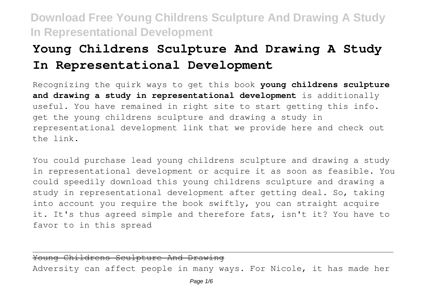# **Young Childrens Sculpture And Drawing A Study In Representational Development**

Recognizing the quirk ways to get this book **young childrens sculpture and drawing a study in representational development** is additionally useful. You have remained in right site to start getting this info. get the young childrens sculpture and drawing a study in representational development link that we provide here and check out the link.

You could purchase lead young childrens sculpture and drawing a study in representational development or acquire it as soon as feasible. You could speedily download this young childrens sculpture and drawing a study in representational development after getting deal. So, taking into account you require the book swiftly, you can straight acquire it. It's thus agreed simple and therefore fats, isn't it? You have to favor to in this spread

Young Childrens Sculpture And Drawing Adversity can affect people in many ways. For Nicole, it has made her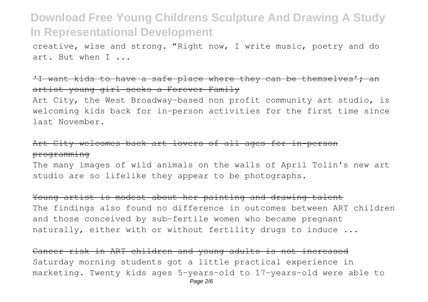creative, wise and strong. "Right now, I write music, poetry and do art. But when I ...

'I want kids to have a safe place where they can be themselves'; an artist young girl seeks a Forever Family

Art City, the West Broadway-based non profit community art studio, is welcoming kids back for in-person activities for the first time since last November.

### Art City welcomes back art lovers of all ages for in-person programming

The many images of wild animals on the walls of April Tolin's new art studio are so lifelike they appear to be photographs.

Young artist is modest about her painting and drawing talent The findings also found no difference in outcomes between ART children and those conceived by sub-fertile women who became pregnant naturally, either with or without fertility drugs to induce ...

Cancer risk in ART children and young adults is not increased Saturday morning students got a little practical experience in marketing. Twenty kids ages 5-years-old to 17-years-old were able to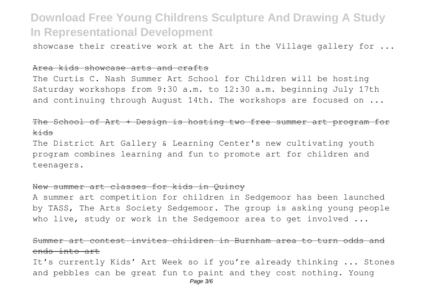showcase their creative work at the Art in the Village gallery for  $\ldots$ 

#### Area kids showcase arts and crafts

The Curtis C. Nash Summer Art School for Children will be hosting Saturday workshops from 9:30 a.m. to 12:30 a.m. beginning July 17th and continuing through August 14th. The workshops are focused on ...

#### The School of Art + Design is hosting two free summer art program for kids

The District Art Gallery & Learning Center's new cultivating youth program combines learning and fun to promote art for children and teenagers.

#### New summer art classes for kids in Quincy

A summer art competition for children in Sedgemoor has been launched by TASS, The Arts Society Sedgemoor. The group is asking young people who live, study or work in the Sedgemoor area to get involved ...

#### Summer art contest invites children in Burnham area to turn odds ends into art

It's currently Kids' Art Week so if you're already thinking ... Stones and pebbles can be great fun to paint and they cost nothing. Young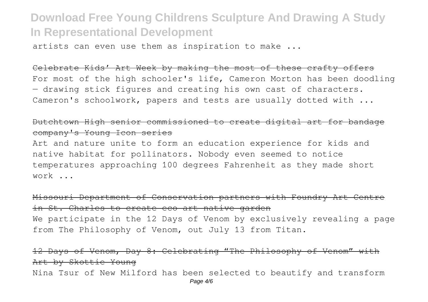artists can even use them as inspiration to make ...

Celebrate Kids' Art Week by making the most of these crafty offers For most of the high schooler's life, Cameron Morton has been doodling — drawing stick figures and creating his own cast of characters. Cameron's schoolwork, papers and tests are usually dotted with ...

### Dutchtown High senior commissioned to create digital art for bandage company's Young Icon series

Art and nature unite to form an education experience for kids and native habitat for pollinators. Nobody even seemed to notice temperatures approaching 100 degrees Fahrenheit as they made short work ...

Missouri Department of Conservation partners with Foundry Art Centre in St. Charles to create eco art native garden We participate in the 12 Days of Venom by exclusively revealing a page from The Philosophy of Venom, out July 13 from Titan.

12 Days of Venom, Day 8: Celebrating "The Philosophy of Venom" with Art by Skottie Young Nina Tsur of New Milford has been selected to beautify and transform Page 4/6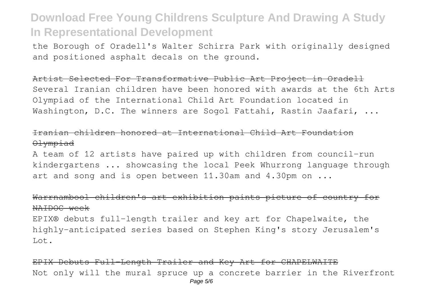the Borough of Oradell's Walter Schirra Park with originally designed and positioned asphalt decals on the ground.

Artist Selected For Transformative Public Art Project in Oradell Several Iranian children have been honored with awards at the 6th Arts Olympiad of the International Child Art Foundation located in Washington, D.C. The winners are Sogol Fattahi, Rastin Jaafari, ...

### Iranian children honored at International Child Art Foundation Olympiad

A team of 12 artists have paired up with children from council-run kindergartens ... showcasing the local Peek Whurrong language through art and song and is open between 11.30am and 4.30pm on ...

### Warrnambool children's art exhibition paints picture of country for NAIDOC week

EPIX® debuts full-length trailer and key art for Chapelwaite, the highly-anticipated series based on Stephen King's story Jerusalem's Lot.

EPIX Debuts Full-Length Trailer and Key Art for CHAPELWAITE Not only will the mural spruce up a concrete barrier in the Riverfront